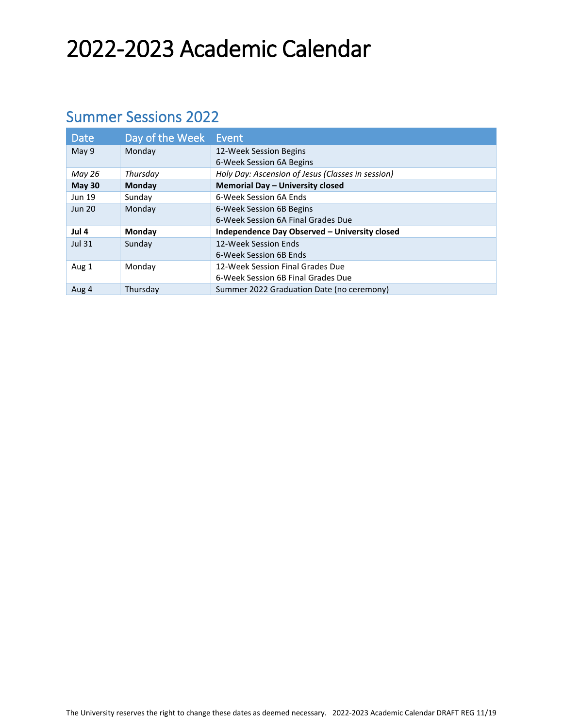# 2022-2023 Academic Calendar

#### Summer Sessions 2022

| <b>Date</b>   | Day of the Week Event |                                                   |
|---------------|-----------------------|---------------------------------------------------|
| May 9         | Monday                | 12-Week Session Begins                            |
|               |                       | 6-Week Session 6A Begins                          |
| May 26        | Thursday              | Holy Day: Ascension of Jesus (Classes in session) |
| <b>May 30</b> | <b>Monday</b>         | Memorial Day - University closed                  |
| <b>Jun 19</b> | Sunday                | 6-Week Session 6A Ends                            |
| <b>Jun 20</b> | Monday                | 6-Week Session 6B Begins                          |
|               |                       | 6-Week Session 6A Final Grades Due                |
| Jul 4         | Monday                | Independence Day Observed - University closed     |
| <b>Jul 31</b> | Sunday                | 12-Week Session Ends                              |
|               |                       | 6-Week Session 6B Ends                            |
| Aug 1         | Monday                | 12-Week Session Final Grades Due                  |
|               |                       | 6-Week Session 6B Final Grades Due                |
| Aug 4         | Thursday              | Summer 2022 Graduation Date (no ceremony)         |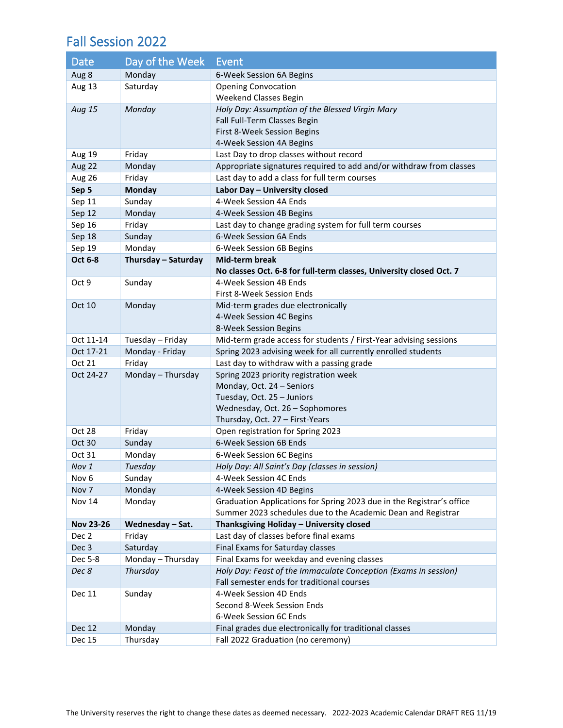#### Fall Session 2022

| Date             | Day of the Week     | Event                                                                 |
|------------------|---------------------|-----------------------------------------------------------------------|
| Aug 8            | Monday              | 6-Week Session 6A Begins                                              |
| Aug 13           | Saturday            | <b>Opening Convocation</b>                                            |
|                  |                     | Weekend Classes Begin                                                 |
| Aug 15           | Monday              | Holy Day: Assumption of the Blessed Virgin Mary                       |
|                  |                     | Fall Full-Term Classes Begin                                          |
|                  |                     | First 8-Week Session Begins                                           |
|                  |                     | 4-Week Session 4A Begins                                              |
| Aug 19           | Friday              | Last Day to drop classes without record                               |
| Aug 22           | Monday              | Appropriate signatures required to add and/or withdraw from classes   |
| Aug 26           | Friday              | Last day to add a class for full term courses                         |
| Sep 5            | <b>Monday</b>       | Labor Day - University closed                                         |
| Sep 11           | Sunday              | 4-Week Session 4A Ends                                                |
| Sep 12           | Monday              | 4-Week Session 4B Begins                                              |
| Sep 16           | Friday              | Last day to change grading system for full term courses               |
| Sep 18           | Sunday              | 6-Week Session 6A Ends                                                |
| Sep 19           | Monday              | 6-Week Session 6B Begins                                              |
| Oct 6-8          | Thursday - Saturday | <b>Mid-term break</b>                                                 |
|                  |                     | No classes Oct. 6-8 for full-term classes, University closed Oct. 7   |
| Oct 9            | Sunday              | 4-Week Session 4B Ends                                                |
|                  |                     | First 8-Week Session Ends                                             |
| Oct 10           | Monday              | Mid-term grades due electronically                                    |
|                  |                     | 4-Week Session 4C Begins                                              |
|                  |                     | 8-Week Session Begins                                                 |
| Oct 11-14        | Tuesday - Friday    | Mid-term grade access for students / First-Year advising sessions     |
| Oct 17-21        | Monday - Friday     | Spring 2023 advising week for all currently enrolled students         |
| Oct 21           | Friday              | Last day to withdraw with a passing grade                             |
| Oct 24-27        | Monday - Thursday   | Spring 2023 priority registration week                                |
|                  |                     | Monday, Oct. 24 - Seniors                                             |
|                  |                     | Tuesday, Oct. 25 - Juniors                                            |
|                  |                     | Wednesday, Oct. 26 - Sophomores                                       |
|                  |                     | Thursday, Oct. 27 - First-Years                                       |
| Oct 28           | Friday              | Open registration for Spring 2023                                     |
| Oct 30           | Sunday              | 6-Week Session 6B Ends                                                |
| Oct 31           | Monday              | 6-Week Session 6C Begins                                              |
| Nov 1            | Tuesday             | Holy Day: All Saint's Day (classes in session)                        |
| Nov <sub>6</sub> | Sunday              | 4-Week Session 4C Ends                                                |
| Nov 7            | Monday              | 4-Week Session 4D Begins                                              |
| <b>Nov 14</b>    | Monday              | Graduation Applications for Spring 2023 due in the Registrar's office |
|                  |                     | Summer 2023 schedules due to the Academic Dean and Registrar          |
| <b>Nov 23-26</b> | Wednesday - Sat.    | Thanksgiving Holiday - University closed                              |
| Dec 2            | Friday              | Last day of classes before final exams                                |
| Dec 3            | Saturday            | Final Exams for Saturday classes                                      |
| Dec 5-8          | Monday - Thursday   | Final Exams for weekday and evening classes                           |
| Dec 8            | Thursday            | Holy Day: Feast of the Immaculate Conception (Exams in session)       |
|                  |                     | Fall semester ends for traditional courses                            |
| Dec 11           | Sunday              | 4-Week Session 4D Ends                                                |
|                  |                     | Second 8-Week Session Ends                                            |
|                  |                     | 6-Week Session 6C Ends                                                |
| <b>Dec 12</b>    | Monday              | Final grades due electronically for traditional classes               |
| <b>Dec 15</b>    | Thursday            | Fall 2022 Graduation (no ceremony)                                    |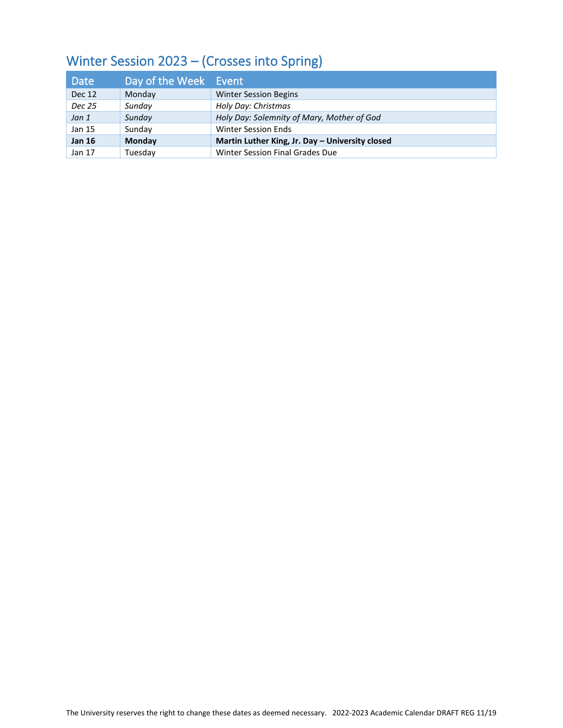#### Winter Session 2023 – (Crosses into Spring)

| Date          | Day of the Week Event |                                                 |
|---------------|-----------------------|-------------------------------------------------|
| Dec 12        | Monday                | <b>Winter Session Begins</b>                    |
| Dec 25        | Sunday                | Holy Day: Christmas                             |
| Jan 1         | Sunday                | Holy Day: Solemnity of Mary, Mother of God      |
| Jan 15        | Sunday                | <b>Winter Session Ends</b>                      |
| <b>Jan 16</b> | Monday                | Martin Luther King, Jr. Day - University closed |
| Jan 17        | Tuesdav               | Winter Session Final Grades Due                 |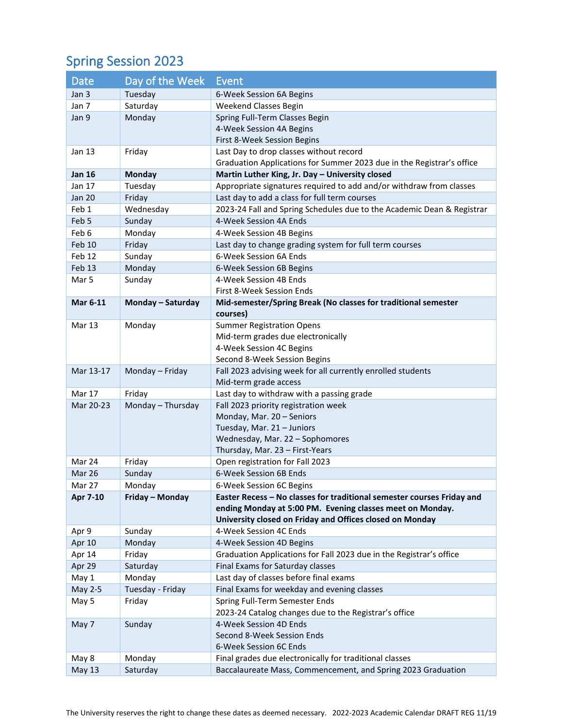### Spring Session 2023

| <b>Date</b>       | Day of the Week   | Event                                                                                                                 |
|-------------------|-------------------|-----------------------------------------------------------------------------------------------------------------------|
| Jan 3             | Tuesday           | 6-Week Session 6A Begins                                                                                              |
| Jan 7             | Saturday          | Weekend Classes Begin                                                                                                 |
| Jan 9             | Monday            | Spring Full-Term Classes Begin                                                                                        |
|                   |                   | 4-Week Session 4A Begins                                                                                              |
|                   |                   | First 8-Week Session Begins                                                                                           |
| Jan 13            | Friday            | Last Day to drop classes without record                                                                               |
|                   |                   | Graduation Applications for Summer 2023 due in the Registrar's office                                                 |
| <b>Jan 16</b>     | <b>Monday</b>     | Martin Luther King, Jr. Day - University closed                                                                       |
| Jan 17            | Tuesday           | Appropriate signatures required to add and/or withdraw from classes                                                   |
| <b>Jan 20</b>     | Friday            | Last day to add a class for full term courses                                                                         |
| Feb 1             | Wednesday         | 2023-24 Fall and Spring Schedules due to the Academic Dean & Registrar                                                |
| Feb 5             | Sunday            | 4-Week Session 4A Ends                                                                                                |
| Feb 6             | Monday            | 4-Week Session 4B Begins                                                                                              |
| Feb 10            | Friday            | Last day to change grading system for full term courses                                                               |
| Feb <sub>12</sub> | Sunday            | 6-Week Session 6A Ends                                                                                                |
| Feb 13            | Monday            | 6-Week Session 6B Begins                                                                                              |
| Mar 5             | Sunday            | 4-Week Session 4B Ends                                                                                                |
|                   |                   | First 8-Week Session Ends                                                                                             |
| <b>Mar 6-11</b>   | Monday - Saturday | Mid-semester/Spring Break (No classes for traditional semester                                                        |
|                   |                   | courses)                                                                                                              |
| <b>Mar 13</b>     | Monday            | <b>Summer Registration Opens</b>                                                                                      |
|                   |                   | Mid-term grades due electronically                                                                                    |
|                   |                   | 4-Week Session 4C Begins                                                                                              |
|                   |                   | Second 8-Week Session Begins                                                                                          |
| Mar 13-17         | Monday - Friday   | Fall 2023 advising week for all currently enrolled students                                                           |
|                   |                   | Mid-term grade access                                                                                                 |
| Mar 17            | Friday            | Last day to withdraw with a passing grade                                                                             |
| Mar 20-23         | Monday - Thursday | Fall 2023 priority registration week                                                                                  |
|                   |                   | Monday, Mar. 20 - Seniors                                                                                             |
|                   |                   | Tuesday, Mar. 21 - Juniors                                                                                            |
|                   |                   | Wednesday, Mar. 22 - Sophomores                                                                                       |
|                   |                   | Thursday, Mar. 23 - First-Years                                                                                       |
| Mar 24            | Friday            | Open registration for Fall 2023                                                                                       |
| Mar 26            | Sunday            | 6-Week Session 6B Ends                                                                                                |
| Mar 27            | Monday            | 6-Week Session 6C Begins                                                                                              |
| Apr 7-10          | Friday - Monday   | Easter Recess - No classes for traditional semester courses Friday and                                                |
|                   |                   | ending Monday at 5:00 PM. Evening classes meet on Monday.<br>University closed on Friday and Offices closed on Monday |
|                   |                   | 4-Week Session 4C Ends                                                                                                |
| Apr 9             | Sunday            | 4-Week Session 4D Begins                                                                                              |
| Apr 10            | Monday            |                                                                                                                       |
| Apr 14            | Friday            | Graduation Applications for Fall 2023 due in the Registrar's office                                                   |
| Apr 29            | Saturday          | Final Exams for Saturday classes                                                                                      |
| May 1             | Monday            | Last day of classes before final exams                                                                                |
| May 2-5           | Tuesday - Friday  | Final Exams for weekday and evening classes                                                                           |
| May 5             | Friday            | Spring Full-Term Semester Ends                                                                                        |
|                   |                   | 2023-24 Catalog changes due to the Registrar's office                                                                 |
| May 7             | Sunday            | 4-Week Session 4D Ends                                                                                                |
|                   |                   | Second 8-Week Session Ends<br>6-Week Session 6C Ends                                                                  |
| May 8             | Monday            | Final grades due electronically for traditional classes                                                               |
| <b>May 13</b>     | Saturday          | Baccalaureate Mass, Commencement, and Spring 2023 Graduation                                                          |
|                   |                   |                                                                                                                       |